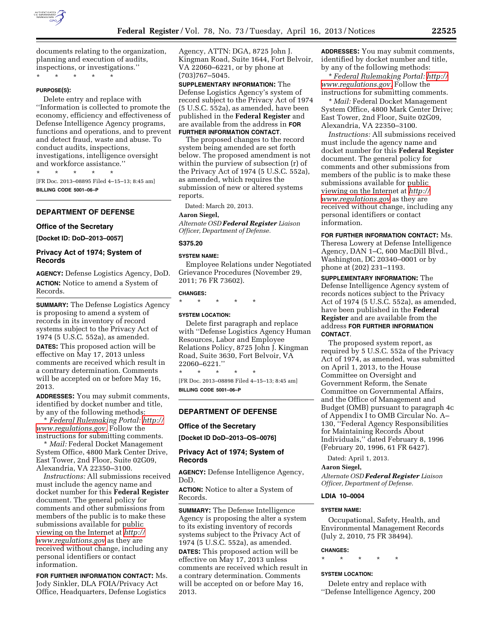

documents relating to the organization, planning and execution of audits, inspections, or investigations.''

\* \* \* \* \*

#### **PURPOSE(S):**

Delete entry and replace with ''Information is collected to promote the economy, efficiency and effectiveness of Defense Intelligence Agency programs, functions and operations, and to prevent and detect fraud, waste and abuse. To conduct audits, inspections, investigations, intelligence oversight and workforce assistance.''

\* \* \* \* \*

[FR Doc. 2013–08895 Filed 4–15–13; 8:45 am] **BILLING CODE 5001–06–P** 

# **DEPARTMENT OF DEFENSE**

#### **Office of the Secretary**

**[Docket ID: DoD–2013–0057]** 

# **Privacy Act of 1974; System of Records**

**AGENCY:** Defense Logistics Agency, DoD. **ACTION:** Notice to amend a System of Records.

**SUMMARY:** The Defense Logistics Agency is proposing to amend a system of records in its inventory of record systems subject to the Privacy Act of 1974 (5 U.S.C. 552a), as amended. **DATES:** This proposed action will be effective on May 17, 2013 unless comments are received which result in a contrary determination. Comments will be accepted on or before May 16, 2013.

**ADDRESSES:** You may submit comments, identified by docket number and title, by any of the following methods:

\* *Federal Rulemaking Portal: [http://](http://www.regulations.gov)  [www.regulations.gov](http://www.regulations.gov)*. Follow the instructions for submitting comments.

\* *Mail:* Federal Docket Management System Office, 4800 Mark Center Drive, East Tower, 2nd Floor, Suite 02G09, Alexandria, VA 22350–3100.

*Instructions:* All submissions received must include the agency name and docket number for this **Federal Register**  document. The general policy for comments and other submissions from members of the public is to make these submissions available for public viewing on the Internet at *[http://](http://www.regulations.gov) [www.regulations.gov](http://www.regulations.gov)* as they are received without change, including any personal identifiers or contact information.

**FOR FURTHER INFORMATION CONTACT:** Ms. Jody Sinkler, DLA FOIA/Privacy Act Office, Headquarters, Defense Logistics

Agency, ATTN: DGA, 8725 John J. Kingman Road, Suite 1644, Fort Belvoir, VA 22060–6221, or by phone at (703)767–5045.

**SUPPLEMENTARY INFORMATION:** The Defense Logistics Agency's system of record subject to the Privacy Act of 1974 (5 U.S.C. 552a), as amended, have been published in the **Federal Register** and are available from the address in **FOR FURTHER INFORMATION CONTACT**.

The proposed changes to the record system being amended are set forth below. The proposed amendment is not within the purview of subsection (r) of the Privacy Act of 1974 (5 U.S.C. 552a), as amended, which requires the submission of new or altered systems reports.

Dated: March 20, 2013.

### **Aaron Siegel,**

*Alternate OSD Federal Register Liaison Officer, Department of Defense.* 

# **S375.20**

#### **SYSTEM NAME:**

Employee Relations under Negotiated Grievance Procedures (November 29, 2011; 76 FR 73602).

#### **CHANGES:**

\* \* \* \* \*

#### **SYSTEM LOCATION:**

Delete first paragraph and replace with ''Defense Logistics Agency Human Resources, Labor and Employee Relations Policy, 8725 John J. Kingman Road, Suite 3630, Fort Belvoir, VA 22060–6221.''

\* \* \* \* \* [FR Doc. 2013–08898 Filed 4–15–13; 8:45 am] **BILLING CODE 5001–06–P** 

# **DEPARTMENT OF DEFENSE**

### **Office of the Secretary**

**[Docket ID DoD–2013–OS–0076]** 

# **Privacy Act of 1974; System of Records**

**AGENCY:** Defense Intelligence Agency, DoD.

**ACTION:** Notice to alter a System of Records.

**SUMMARY:** The Defense Intelligence Agency is proposing the alter a system to its existing inventory of records systems subject to the Privacy Act of 1974 (5 U.S.C. 552a), as amended. **DATES:** This proposed action will be effective on May 17, 2013 unless comments are received which result in a contrary determination. Comments will be accepted on or before May 16, 2013.

**ADDRESSES:** You may submit comments, identified by docket number and title, by any of the following methods:

\* *Federal Rulemaking Portal: [http://](http://www.regulations.gov)  [www.regulations.gov.](http://www.regulations.gov)* Follow the instructions for submitting comments.

\* *Mail:* Federal Docket Management System Office, 4800 Mark Center Drive; East Tower, 2nd Floor, Suite 02G09, Alexandria, VA 22350–3100.

*Instructions:* All submissions received must include the agency name and docket number for this **Federal Register**  document. The general policy for comments and other submissions from members of the public is to make these submissions available for public viewing on the Internet at *[http://](http://www.regulations.gov) [www.regulations.gov](http://www.regulations.gov)* as they are received without change, including any personal identifiers or contact information.

**FOR FURTHER INFORMATION CONTACT:** Ms.

Theresa Lowery at Defense Intelligence Agency, DAN 1–C, 600 MacDill Blvd., Washington, DC 20340–0001 or by phone at (202) 231–1193.

**SUPPLEMENTARY INFORMATION:** The Defense Intelligence Agency system of records notices subject to the Privacy Act of 1974 (5 U.S.C. 552a), as amended, have been published in the **Federal Register** and are available from the address **FOR FURTHER INFORMATION CONTACT**.

The proposed system report, as required by 5 U.S.C. 552a of the Privacy Act of 1974, as amended, was submitted on April 1, 2013, to the House Committee on Oversight and Government Reform, the Senate Committee on Governmental Affairs, and the Office of Management and Budget (OMB) pursuant to paragraph 4c of Appendix I to OMB Circular No. A– 130, ''Federal Agency Responsibilities for Maintaining Records About Individuals,'' dated February 8, 1996 (February 20, 1996, 61 FR 6427).

Dated: April 1, 2013.

## **Aaron Siegel,**

*Alternate OSD Federal Register Liaison Officer, Department of Defense.* 

### **LDIA 10–0004**

#### **SYSTEM NAME:**

Occupational, Safety, Health, and Environmental Management Records (July 2, 2010, 75 FR 38494).

## **CHANGES:**

\* \* \* \* \*

## **SYSTEM LOCATION:**

Delete entry and replace with ''Defense Intelligence Agency, 200